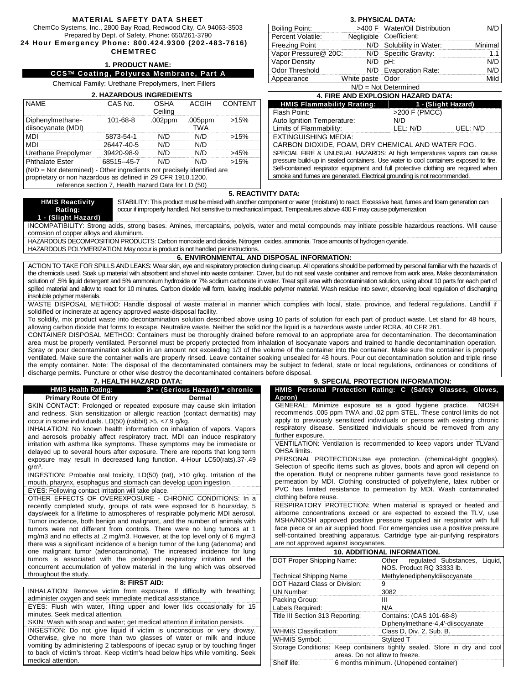#### **MATERIAL SAFETY DATA SHEET**

ChemCo Systems, Inc., 2800 Bay Road, Redwood City, CA 94063-3503

Prepared by Dept. of Safety, Phone: 650/261-3790 **24 Hour Emergency Phone: 800.424.9300 (202 -483-7616)** 

# **CHEMTREC**

### **1. PRODUCT NAME:**

## **CCS Coating, Polyurea Membrane, Part A**

Chemical Family: Urethane Prepolymers, Inert Fillers

| <b>2. HAZARDOUS INGREDIENTS</b>                                                                                                         |                                                     |                 |                 |               |  |  |  |
|-----------------------------------------------------------------------------------------------------------------------------------------|-----------------------------------------------------|-----------------|-----------------|---------------|--|--|--|
| <b>NAME</b>                                                                                                                             | CAS No.                                             | OSHA<br>Ceiling |                 | ACGIH CONTENT |  |  |  |
| Diphenylmethane-<br>diisocyanate (MDI)                                                                                                  | $101 - 68 - 8$                                      | .002ppm         | .005ppm<br>TW A | >15%          |  |  |  |
| <b>MDI</b>                                                                                                                              | 5873-54-1                                           | מ/ו             | N/D             | >15%          |  |  |  |
| MDI                                                                                                                                     | 26447-40-5                                          | N/D             | N/D             |               |  |  |  |
| Urethane Prepolymer                                                                                                                     | 39420-98-9                                          | ח/ו             | רוא             | 45%           |  |  |  |
| <b>Phthalate Ester</b>                                                                                                                  | 68515-45-7                                          |                 |                 | >15%          |  |  |  |
| (N/D = Not determined) - Other ingredients not precisely identified are<br>proprietary or non hazardous as defined in 29 CFR 1910.1200. | reference section 7, Health Hazard Data for LD (50) |                 |                 |               |  |  |  |

## **3. PHYSICAL DATA:**

| Boiling Point:         |                    | >400 F   Water/Oil Distribution |         |  |  |  |  |
|------------------------|--------------------|---------------------------------|---------|--|--|--|--|
| Percent Volatile:      |                    | Negligible   Coefficient:       |         |  |  |  |  |
| <b>Freezing Point</b>  |                    | N/D Solubility in Water:        | Minimal |  |  |  |  |
| Vapor Pressure@ 20C:   |                    | N/D Specific Gravity:           |         |  |  |  |  |
| Vapor Density          | $N/D$ $D$ $H$ :    |                                 |         |  |  |  |  |
| <b>Odor Threshold</b>  |                    | N/D   Evaporation Rate:         |         |  |  |  |  |
| Appearance             | White paste   Odor |                                 |         |  |  |  |  |
| $N/D = Not Determined$ |                    |                                 |         |  |  |  |  |

| <b>4. FIRE AND EXPLOSION HAZARD DATA:</b>                                             |                     |          |  |  |  |
|---------------------------------------------------------------------------------------|---------------------|----------|--|--|--|
| <b>HMIS Flammability Rrating:</b>                                                     | 1 - (Slight Hazard) |          |  |  |  |
| Flash Point:                                                                          | >200 F (PMCC)       |          |  |  |  |
| Auto Ignition Temperature:                                                            | N/D                 |          |  |  |  |
| Limits of Flammability:                                                               | LEL: N/D            | UEL: N/D |  |  |  |
| <b>EXTINGUISHING MEDIA:</b>                                                           |                     |          |  |  |  |
| CARBON DIOXIDE, FOAM, DRY CHEMICAL AND WATER FOG.                                     |                     |          |  |  |  |
| SPECIAL FIRE & UNUSUAL HAZARDS: At high temperatures vapors can cause                 |                     |          |  |  |  |
| pressure build-up in sealed containers. Use water to cool containers exposed to fire. |                     |          |  |  |  |
| Self-contained respirator equipment and full protective clothing are required when    |                     |          |  |  |  |

smoke and fumes are generated. Electrical grounding is not recommended

Shelf life: 6 months minimum. (Unopened container)

#### **5. REACTIVITY DATA:**

STABILITY: This product must be mixed with another component or water (moisture) to react. Excessive heat, fumes and foam generation can occur if improperly handled. Not sensitive to mechanical impact. Temperatures above 400 F may cause polymerization

**HMIS Reactivity Rating: 1 - (Slight Hazard)**

INCOMPATIBILITY: Strong acids, strong bases. Amines, mercaptains, polyols, water and metal compounds may initiate possible hazardous reactions. Will cause corrosion of copper alloys and aluminum.

HAZARDOUS DECOMPOSITION PRODUCTS: Carbon monoxide and dioxide, Nitrogen oxides, ammonia. Trace amounts of hydrogen cyanide. HAZARDOUS POLYMERIZATION: May occur is product is not handled per instructions.

**6. ENVIRONMENTAL AND DISPOSAL INFORMATION:**

ACTION TO TAKE FOR SPILLS AND LEAKS: Wear skin, eye and respiratory protection during cleanup. All operations should be performed by personal familiar with the hazards of the chemicals used. Soak up material with absorbent and shovel into waste container. Cover, but do not seal waste container and remove from work area. Make decontamination solution of .5% liquid detergent and 5% ammonium hydroxide or 7% sodium carbonate in water. Treat spill area with decontamination solution, using about 10 parts for each part of spilled material and allow to react for 10 minutes. Carbon dioxide will form, leaving insoluble polymer material. Wash residue into sewer, observing local regulation of discharging insoluble polymer materials.

WASTE DISPOSAL METHOD: Handle disposal of waste material in manner which complies with local, state, province, and federal regulations. Landfill if solidified or incinerate at agency approved waste-disposal facility.

To solidify, mix product waste into decontamination solution described above using 10 parts of solution for each part of product waste. Let stand for 48 hours, allowing carbon dioxide that forms to escape. Neutralize waste. Neither the solid nor the liquid is a hazardous waste under RCRA, 40 CFR 261.

CONTAINER DISPOSAL METHOD: Containers must be thoroughly drained before removal to an appropriate area for decontamination. The decontamination area must be properly ventilated. Personnel must be properly protected from inhalation of isocyanate vapors and trained to handle decontamination operation. Spray or pour decontamination solution in an amount not exceeding 1/3 of the volume of the container into the container. Make sure the container is properly ventilated. Make sure the container walls are properly rinsed. Leave container soaking unsealed for 48 hours. Pour out decontamination solution and triple rinse the empty container. Note: The disposal of the decontaminated containers may be subject to federal, state or local regulations, ordinances or conditions of discharge permits. Puncture or other wise destroy the decontaminated containers before disposal.

| 7. HEALTH HAZARD DATA:                                                                                                                                  |                                 | <b>9. SPECIAL PROTECTION INFORMATION:</b>                       |                                                                                        |                                                                                                                                                             |  |
|---------------------------------------------------------------------------------------------------------------------------------------------------------|---------------------------------|-----------------------------------------------------------------|----------------------------------------------------------------------------------------|-------------------------------------------------------------------------------------------------------------------------------------------------------------|--|
| <b>HMIS Health Rating:</b>                                                                                                                              | 3* - (Serious Hazard) * chronic |                                                                 |                                                                                        | HMIS Personal Protection Rating: C (Safety Glasses, Gloves,                                                                                                 |  |
| <b>Primary Route Of Entry</b>                                                                                                                           | Dermal                          | Apron)                                                          |                                                                                        |                                                                                                                                                             |  |
| SKIN CONTACT: Prolonged or repeated exposure may cause skin irritation                                                                                  |                                 |                                                                 |                                                                                        | GENERAL: Minimize exposure as a good hygiene practice. NIOSH                                                                                                |  |
| and redness. Skin sensitization or allergic reaction (contact dermatitis) may                                                                           |                                 |                                                                 |                                                                                        | recommends .005 ppm TWA and .02 ppm STEL. These control limits do not                                                                                       |  |
| occur in some individuals. $LD(50)$ (rabbit) >5, <7.9 g/kg.                                                                                             |                                 |                                                                 |                                                                                        | apply to previously sensitized individuals or persons with existing chronic                                                                                 |  |
| INHALATION: No known health information on inhalation of vapors. Vapors                                                                                 |                                 |                                                                 |                                                                                        | respiratory disease. Sensitized individuals should be removed from any                                                                                      |  |
| and aerosols probably affect respiratory tract. MDI can induce respiratory                                                                              |                                 | further exposure.                                               |                                                                                        |                                                                                                                                                             |  |
| irritation with asthma like symptoms. These symptoms may be immediate or                                                                                |                                 |                                                                 |                                                                                        | VENTILATION: Ventilation is recommended to keep vapors under TLVand                                                                                         |  |
| delayed up to several hours after exposure. There are reports that long term                                                                            |                                 | OHSA limits.                                                    |                                                                                        |                                                                                                                                                             |  |
| exposure may result in decreased lung function. 4-Hour LC50(rats).37-.49                                                                                |                                 |                                                                 |                                                                                        | PERSONAL PROTECTION:Use eye protection. (chemical-tight goggles).                                                                                           |  |
| $g/m3$ .                                                                                                                                                |                                 |                                                                 |                                                                                        | Selection of specific items such as gloves, boots and apron will depend on                                                                                  |  |
| INGESTION: Probable oral toxicity, LD(50) (rat), >10 g/kg. Irritation of the                                                                            |                                 |                                                                 |                                                                                        | the operation. Butyl or neoprene rubber garments have good resistance to                                                                                    |  |
| mouth, pharynx, esophagus and stomach can develop upon ingestion.                                                                                       |                                 |                                                                 |                                                                                        | permeation by MDI. Clothing constructed of polyethylene, latex rubber or                                                                                    |  |
| EYES: Following contact irritation will take place.                                                                                                     |                                 |                                                                 |                                                                                        | PVC has limited resistance to permeation by MDI. Wash contaminated                                                                                          |  |
| OTHER EFFECTS OF OVEREXPOSURE - CHRONIC CONDITIONS: In a                                                                                                |                                 | clothing before reuse.                                          |                                                                                        |                                                                                                                                                             |  |
| recently completed study, groups of rats were exposed for 6 hours/day, 5                                                                                |                                 |                                                                 |                                                                                        | RESPIRATORY PROTECTION: When material is sprayed or heated and                                                                                              |  |
| days/week for a lifetime to atmospheres of respirable polymeric MDI aerosol.                                                                            |                                 |                                                                 |                                                                                        | airborne concentrations exceed or are expected to exceed the TLV, use                                                                                       |  |
| Tumor incidence, both benign and malignant, and the number of animals with                                                                              |                                 |                                                                 |                                                                                        | MSHA/NIOSH approved positive pressure supplied air respirator with full                                                                                     |  |
| tumors were not different from controls. There were no lung tumors at 1                                                                                 |                                 |                                                                 |                                                                                        | face piece or an air supplied hood. For emergencies use a positive pressure<br>self-contained breathing apparatus. Cartridge type air-purifying respirators |  |
| mg/m3 and no effects at .2 mg/m3. However, at the top level only of 6 mg/m3                                                                             |                                 | are not approved against isocyanates.                           |                                                                                        |                                                                                                                                                             |  |
| there was a significant incidence of a benign tumor of the lung (adenoma) and<br>one malignant tumor (adenocarcinoma). The increased incidence for lung |                                 |                                                                 |                                                                                        | <b>10. ADDITIONAL INFORMATION.</b>                                                                                                                          |  |
| tumors is associated with the prolonged respiratory irritation and the                                                                                  |                                 |                                                                 |                                                                                        |                                                                                                                                                             |  |
| concurrent accumulation of yellow material in the lung which was observed                                                                               |                                 | DOT Proper Shipping Name:                                       |                                                                                        | Other regulated Substances, Liquid,                                                                                                                         |  |
| throughout the study.                                                                                                                                   |                                 |                                                                 |                                                                                        | NOS. Product RQ 33333 lb.                                                                                                                                   |  |
| 8: FIRST AID:                                                                                                                                           |                                 | <b>Technical Shipping Name</b><br>DOT Hazard Class or Division: |                                                                                        | Methylenediphenyldiisocyanate                                                                                                                               |  |
| INHALATION: Remove victim from exposure. If difficulty with breathing;                                                                                  |                                 |                                                                 | 9                                                                                      |                                                                                                                                                             |  |
| administer oxygen and seek immediate medical assistance.                                                                                                |                                 | <b>UN Number:</b>                                               | 3082                                                                                   |                                                                                                                                                             |  |
| EYES: Flush with water, lifting upper and lower lids occasionally for 15                                                                                |                                 | Packing Group:                                                  | Ш                                                                                      |                                                                                                                                                             |  |
| minutes. Seek medical attention.                                                                                                                        |                                 | Labels Required:                                                | N/A                                                                                    |                                                                                                                                                             |  |
| SKIN: Wash with soap and water; get medical attention if irritation persists.                                                                           |                                 | Title III Section 313 Reporting:                                |                                                                                        | Contains: (CAS 101-68-8)                                                                                                                                    |  |
| INGESTION: Do not give liquid if victim is unconscious or very drowsy.                                                                                  |                                 |                                                                 |                                                                                        | Diphenylmethane-4,4'-diisocyanate<br>Class D, Div. 2, Sub. B.                                                                                               |  |
| Otherwise, give no more than two glasses of water or milk and induce                                                                                    |                                 | <b>WHMIS Classification:</b>                                    |                                                                                        |                                                                                                                                                             |  |
| vomiting by administering 2 tablespoons of ipecac syrup or by touching finger                                                                           |                                 | <b>WHMIS Symbol:</b>                                            |                                                                                        | Stylized T                                                                                                                                                  |  |
| to back of victim's throat. Keep victim's head below hips while vomiting. Seek                                                                          |                                 |                                                                 |                                                                                        | Storage Conditions: Keep containers tightly sealed. Store in dry and cool                                                                                   |  |
| medical attention                                                                                                                                       |                                 | $O(1) = 100$ Fig. $\alpha$                                      | areas. Do not allow to freeze.<br>$\Omega$ are proofing that the contract of the proof | and a characteristic and                                                                                                                                    |  |